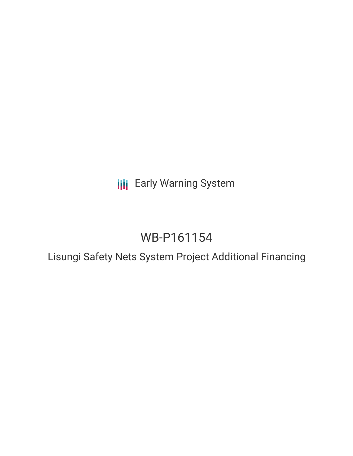**III** Early Warning System

# WB-P161154

Lisungi Safety Nets System Project Additional Financing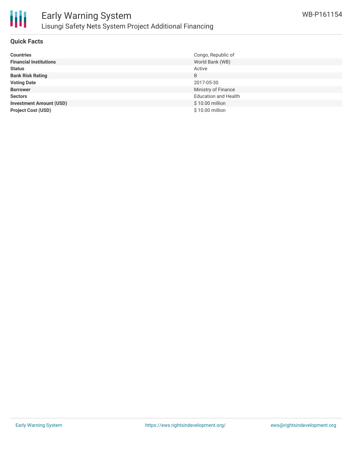

# **Quick Facts**

| <b>Countries</b>               | Congo, Republic of          |
|--------------------------------|-----------------------------|
| <b>Financial Institutions</b>  | World Bank (WB)             |
| <b>Status</b>                  | Active                      |
| <b>Bank Risk Rating</b>        | B                           |
| <b>Voting Date</b>             | 2017-05-30                  |
| <b>Borrower</b>                | Ministry of Finance         |
| <b>Sectors</b>                 | <b>Education and Health</b> |
| <b>Investment Amount (USD)</b> | \$10.00 million             |
| <b>Project Cost (USD)</b>      | \$10.00 million             |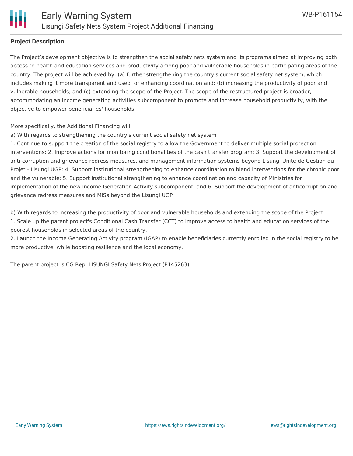

### **Project Description**

The Project's development objective is to strengthen the social safety nets system and its programs aimed at improving both access to health and education services and productivity among poor and vulnerable households in participating areas of the country. The project will be achieved by: (a) further strengthening the country's current social safety net system, which includes making it more transparent and used for enhancing coordination and; (b) increasing the productivity of poor and vulnerable households; and (c) extending the scope of the Project. The scope of the restructured project is broader, accommodating an income generating activities subcomponent to promote and increase household productivity, with the objective to empower beneficiaries' households.

More specifically, the Additional Financing will:

a) With regards to strengthening the country's current social safety net system

1. Continue to support the creation of the social registry to allow the Government to deliver multiple social protection interventions; 2. Improve actions for monitoring conditionalities of the cash transfer program; 3. Support the development of anti-corruption and grievance redress measures, and management information systems beyond Lisungi Unite de Gestion du Projet - Lisungi UGP; 4. Support institutional strengthening to enhance coordination to blend interventions for the chronic poor and the vulnerable; 5. Support institutional strengthening to enhance coordination and capacity of Ministries for implementation of the new Income Generation Activity subcomponent; and 6. Support the development of anticorruption and grievance redress measures and MISs beyond the Lisungi UGP

b) With regards to increasing the productivity of poor and vulnerable households and extending the scope of the Project 1. Scale up the parent project's Conditional Cash Transfer (CCT) to improve access to health and education services of the poorest households in selected areas of the country.

2. Launch the Income Generating Activity program (IGAP) to enable beneficiaries currently enrolled in the social registry to be more productive, while boosting resilience and the local economy.

The parent project is CG Rep. LISUNGI Safety Nets Project (P145263)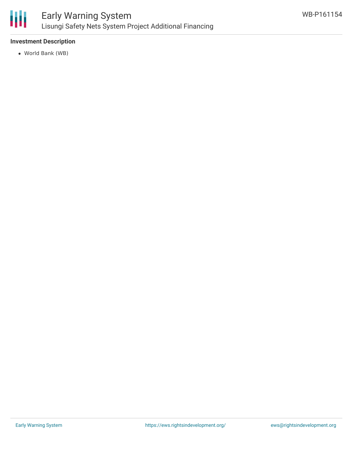

# **Investment Description**

World Bank (WB)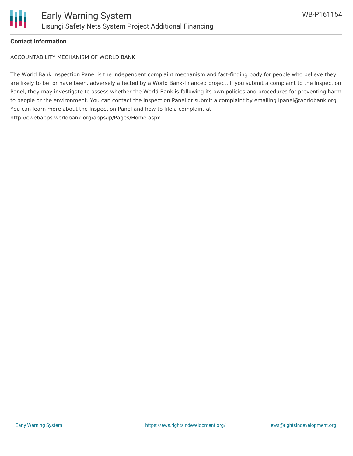

## **Contact Information**

ACCOUNTABILITY MECHANISM OF WORLD BANK

The World Bank Inspection Panel is the independent complaint mechanism and fact-finding body for people who believe they are likely to be, or have been, adversely affected by a World Bank-financed project. If you submit a complaint to the Inspection Panel, they may investigate to assess whether the World Bank is following its own policies and procedures for preventing harm to people or the environment. You can contact the Inspection Panel or submit a complaint by emailing ipanel@worldbank.org. You can learn more about the Inspection Panel and how to file a complaint at: http://ewebapps.worldbank.org/apps/ip/Pages/Home.aspx.